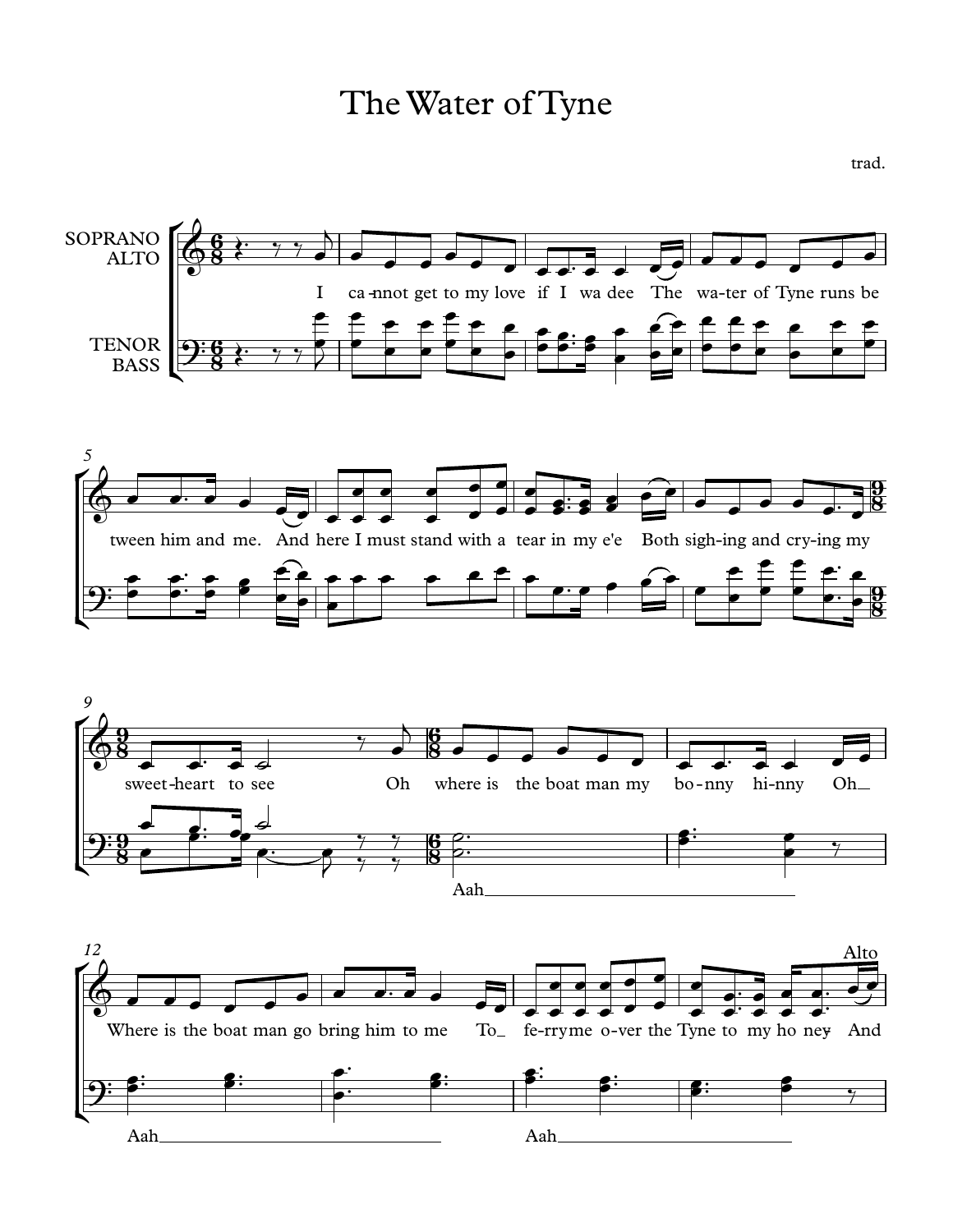TheWater of Tyne

trad.

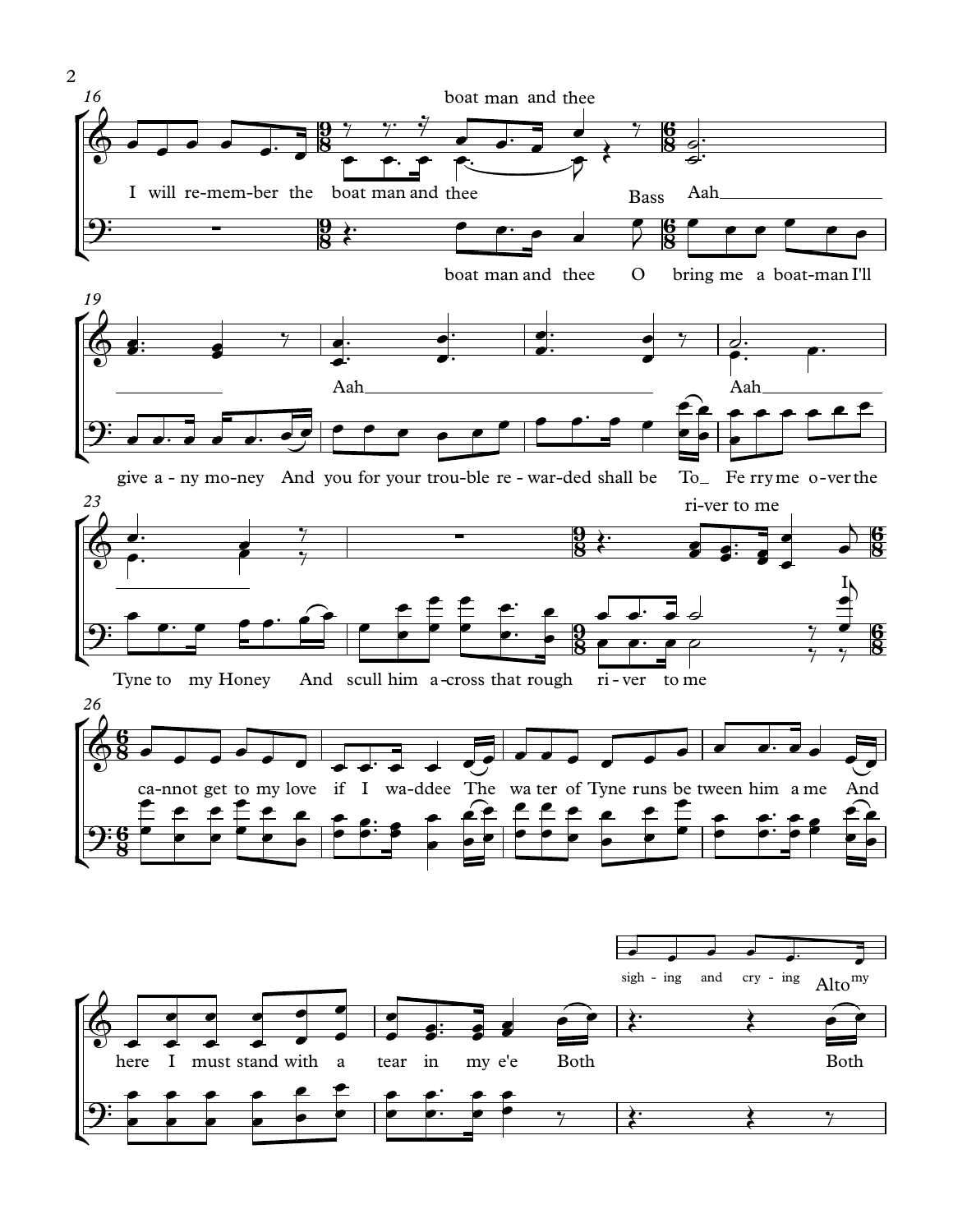